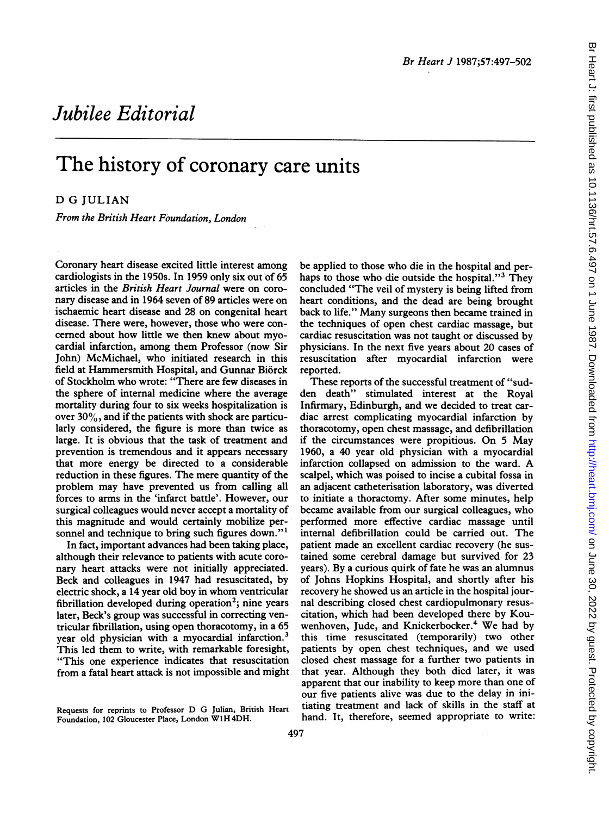# Jubilee Editorial

# The history of coronary care units

## D G JULIAN

From the British Heart Foundation, London

Coronary heart disease excited little interest among cardiologists in the 1950s. In 1959 only six out of 65 articles in the British Heart Journal were on coronary disease and in 1964 seven of 89 articles were on ischaemic heart disease and 28 on congenital heart disease. There were, however, those who were concemed about how little we then knew about myocardial infarction, among them Professor (now Sir John) McMichael, who initiated research in this field at Hammersmith Hospital, and Gunnar Biorck of Stockholm who wrote: "There are few diseases in the sphere of internal medicine where the average mortality during four to six weeks hospitalization is over  $30\%$ , and if the patients with shock are particularly considered, the figure is more than twice as large. It is obvious that the task of treatment and prevention is tremendous and it appears necessary that more energy be directed to a considerable reduction in these figures. The mere quantity of the problem may have prevented us from calling all forces to arms in the 'infarct battle'. However, our surgical colleagues would never accept a mortality of this magnitude and would certainly mobilize personnel and technique to bring such figures down."<sup>1</sup>

In fact, important advances had been taking place, although their relevance to patients with acute coronary heart attacks were not initially appreciated. Beck and colleagues in 1947 had resuscitated, by electric shock, <sup>a</sup> <sup>14</sup> year old boy in whom ventricular fibrillation developed during operation<sup>2</sup>; nine years later, Beck's group was successful in correcting ventricular fibrillation, using open thoracotomy, in a 65 year old physician with a myocardial infarction.<sup>3</sup> This led them to write, with remarkable foresight, "This one experience indicates that resuscitation from a fatal heart attack is not impossible and might

be applied to those who die in the hospital and perhaps to those who die outside the hospital."<sup>3</sup> They concluded "The veil of mystery is being lifted from heart conditions, and the dead are being brought back to life." Many surgeons then became trained in the techniques of open chest cardiac massage, but cardiac resuscitation was not taught or discussed by physicians. In the next five years about 20 cases of resuscitation after myocardial infarction were reported.

These reports of the successful treatment of "sudden death" stimulated interest at the Royal Infirmary, Edinburgh, and we decided to treat cardiac arrest complicating myocardial infarction by thoracotomy, open chest massage, and defibrillation if the circumstances were propitious. On <sup>5</sup> May 1960, a 40 year old physician with a myocardial infarction collapsed on admission to the ward. A scalpel, which was poised to incise a cubital fossa in an adjacent catheterisation laboratory, was diverted to initiate a thoractomy. After some minutes, help became available from our surgical colleagues, who performed more effective cardiac massage until internal defibrillation could be carried out. The patient made an excellent cardiac recovery (he sustained some cerebral damage but survived for 23 years). By a curious quirk of fate he was an alumnus of Johns Hopkins Hospital, and shortly after his recovery he showed us an article in the hospital journal describing closed chest cardiopulmonary resuscitation, which had been developed there by Kouwenhoven, Jude, and Knickerbocker.<sup>4</sup> We had by this time resuscitated (temporarily) two other patients by open chest techniques, and we used closed chest massage for a further two patients in that year. Although they both died later, it was apparent that our inability to keep more than one of our five patients alive was due to the delay in initiating treatment and lack of skills in the staff at hand. It, therefore, seemed appropriate to write:

Requests for reprints to Professor D G Julian, British Heart Foundation, <sup>102</sup> Gloucester Place, London W1H 4DH.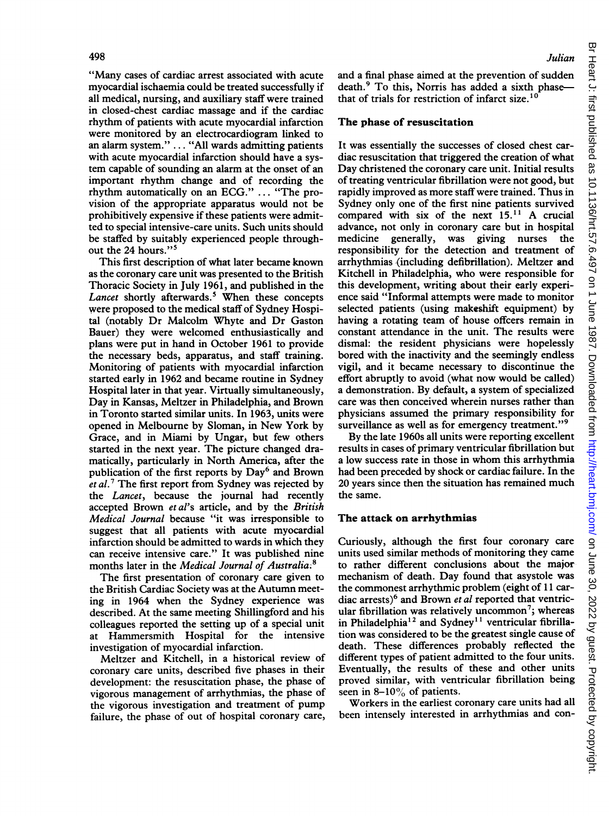"Many cases of cardiac arrest associated with acute myocardial ischaemia could be treated successfully if all medical, nursing, and auxiliary staff were trained in closed-chest cardiac massage and if the cardiac rhythm of patients with acute myocardial infarction were monitored by an electrocardiogram linked to an alarm system." ... "All wards admitting patients with acute myocardial infarction should have a system capable of sounding an alarm at the onset of an important rhythm change and of recording the rhythm automatically on an ECG." ... "The provision of the appropriate apparatus would not be prohibitively expensive if these patients were admitted to special intensive-care units. Such units should be staffed by suitably experienced people throughout the 24 hours."<sup>5</sup>

This first description of what later became known as the coronary care unit was presented to the British Thoracic Society in July 1961, and published in the Lancet shortly afterwards.<sup>5</sup> When these concepts were proposed to the medical staff of Sydney Hospital (notably Dr Malcolm Whyte and Dr Gaston Bauer) they were welcomed enthusiastically and plans were put in hand in October 1961 to provide the necessary beds, apparatus, and staff training. Monitoring of patients with myocardial infarction started early in 1962 and became routine in Sydney Hospital later in that year. Virtually simultaneously, Day in Kansas, Meltzer in Philadelphia, and Brown in Toronto started similar units. In 1963, units were opened in Melbourne by Sloman, in New York by Grace, and in Miami by Ungar, but few others started in the next year. The picture changed dramatically, particularly in North America, after the publication of the first reports by Day<sup>6</sup> and Brown et al.<sup>7</sup> The first report from Sydney was rejected by the Lancet, because the journal had recently accepted Brown et al's article, and by the British Medical Journal because "it was irresponsible to suggest that all patients with acute myocardial infarction should be admitted to wards in which they can receive intensive care." It was published nine months later in the Medical Journal of Australia.<sup>8</sup>

The first presentation of coronary care given to the British Cardiac Society was at the Autumn meeting in 1964 when the Sydney experience was described. At the same meeting Shillingford and his colleagues reported the setting up of a special unit at Hammersmith Hospital for the intensive investigation of myocardial infarction.

Meltzer and Kitchell, in a historical review of coronary care units, described five phases in their development: the resuscitation phase, the phase of vigorous management of arrhythmias, the phase of the vigorous investigation and treatment of pump failure, the phase of out of hospital coronary care, and a final phase aimed at the prevention of sudden death.<sup>9</sup> To this, Norris has added a sixth phasethat of trials for restriction of infarct size.<sup>10</sup>

#### The phase of resuscitation

It was essentially the successes of closed chest cardiac resuscitation that triggered the creation of what Day christened the coronary care unit. Initial results of treating ventricular fibrillation were not good, but rapidly improved as more staff were trained. Thus in Sydney only one of the first nine patients survived compared with six of the next 15.11 A crucial advance, not only in coronary care but in hospital medicine generally, was giving nurses the responsibility for the detection and treatment of arrhythmias (including defibrillation). Meltzer and Kitchell in Philadelphia, who were responsible for this development, writing about their early experience said "Informal attempts were made to monitor selected patients (using makeshift equipment) by having a rotating team of house offcers remain in constant attendance in the unit. The results were dismal: the resident physicians were hopelessly bored with the inactivity and the seemingly endless vigil, and it became necessary to discontinue the effort abruptly to avoid (what now would be called) a demonstration. By default, a system of specialized care was then conceived wherein nurses rather than physicians assumed the primary responsibility for surveillance as well as for emergency treatment."<sup>9</sup>

By the late 1960s all units were reporting excellent results in cases of primary ventricular fibrillation but <sup>a</sup> low success rate in those in whom this arrhythmia had been preceded by shock or cardiac failure. In the 20 years since then the situation has remained much the same.

#### The attack on arrhythmias

Curiously, although the first four coronary care units used similar methods of monitoring they came to rather different conclusions about the major mechanism of death. Day found that asystole was the commonest arrhythmic problem (eight of 11 cardiac arrests)<sup>6</sup> and Brown et al reported that ventricular fibrillation was relatively uncommon<sup>7</sup>; whereas in Philadelphia<sup>12</sup> and Sydney<sup>11</sup> ventricular fibrillation was considered to be the greatest single cause of death. These differences probably reflected the different types of patient admitted to the four units. Eventually, the results of these and other units proved similar, with ventricular fibrillation being seen in  $8-10\%$  of patients.

Workers in the earliest coronary care units had all been intensely interested in arrhythmias and con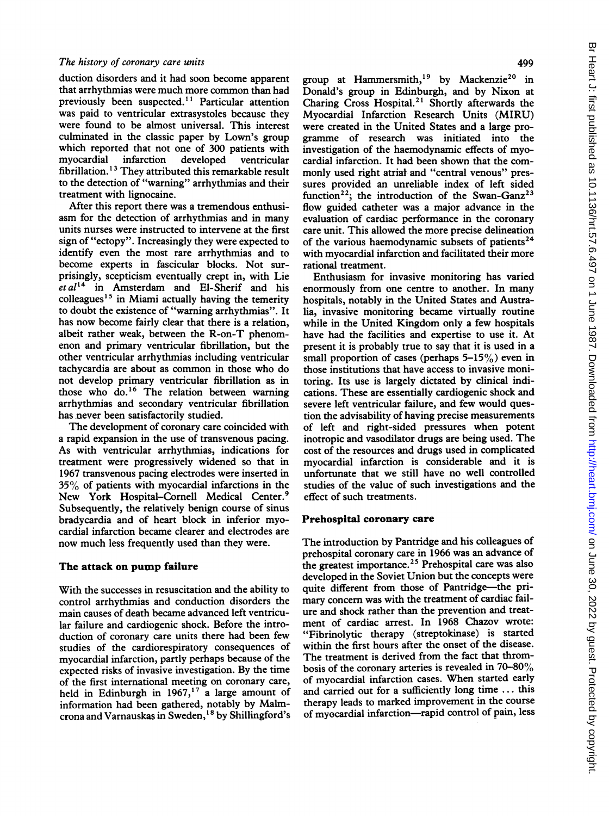duction disorders and it had soon become apparent that arrhythmias were much more common than had previously been suspected.<sup>11</sup> Particular attention was paid to ventricular extrasystoles because they were found to be almost universal. This interest culminated in the classic paper by Lown's group which reported that not one of 300 patients with myocardial infarction developed ventricular fibrillation. <sup>13</sup> They attributed this remarkable result to the detection of "warning" arrhythmias and their treatment with lignocaine.

After this report there was a tremendous enthusiasm for the detection of arrhythmias and in many units nurses were instructed to intervene at the first sign of "ectopy". Increasingly they were expected to identify even the most rare arrhythmias and to become experts in fascicular blocks. Not surprisingly, scepticism eventually crept in, with Lie  $et al<sup>14</sup>$  in Amsterdam and El-Sherif and his colleagues<sup>15</sup> in Miami actually having the temerity to doubt the existence of "warning arrhythmias". It has now become fairly clear that there is a relation, albeit rather weak, between the R-on-T phenomenon and primary ventricular fibrillation, but the other ventricular arrhythmias including ventricular tachycardia are about as common in those who do not develop primary ventricular fibrillation as in those who do.'6 The relation between warning arrhythmias and secondary ventricular fibrillation has never been satisfactorily studied.

The development of coronary care coincided with a rapid expansion in the use of transvenous pacing. As with ventricular arrhythmias, indications for treatment were progressively widened so that in 1967 transvenous pacing electrodes were inserted in 35% of patients with myocardial infarctions in the New York Hospital-Comell Medical Center.9 Subsequently, the relatively benign course of sinus bradycardia and of heart block in inferior myocardial infarction became clearer and electrodes are now much less frequently used than they were.

### The attack on pump failure

With the successes in resuscitation and the ability to control arrhythmias and conduction disorders the main causes of death became advanced left ventricular failure and cardiogenic shock. Before the introduction of coronary care units there had been few studies of the cardiorespiratory consequences of myocardial infarction, partly perhaps because of the expected risks of invasive investigation. By the time of the first international meeting on coronary care, held in Edinburgh in  $1967$ ,<sup>17</sup> a large amount of information had been gathered, notably by Malmcrona and Varnauskas in Sweden,<sup>18</sup> by Shillingford's

group at Hammersmith,<sup>19</sup> by Mackenzie<sup>20</sup> in Donald's group in Edinburgh, and by Nixon at Charing Cross Hospital.2' Shortly afterwards the Myocardial Infarction Research Units (MIRU) were created in the United States and a large programme of research was initiated into the investigation of the haemodynamic effects of myocardial infarction. It had been shown that the commonly used right atrial and "central venous" pressures provided an unreliable index of left sided function<sup>22</sup>; the introduction of the Swan-Ganz<sup>23</sup> flow guided catheter was a major advance in the evaluation of cardiac performance in the coronary care unit. This allowed the more precise delineation of the various haemodynamic subsets of patients<sup>24</sup> with myocardial infarction and facilitated their more rational treatment.

Enthusiasm for invasive monitoring has varied enormously from one centre to another. In many hospitals, notably in the United States and Australia, invasive monitoring became virtually routine while in the United Kingdom only a few hospitals have had the facilities and expertise to use it. At present it is probably true to say that it is used in a small proportion of cases (perhaps  $5-15\%$ ) even in those institutions that have access to invasive monitoring. Its use is largely dictated by clinical indications. These are essentially cardiogenic shock and severe left ventricular failure, and few would question the advisability of having precise measurements of left and right-sided pressures when potent inotropic and vasodilator drugs are being used. The cost of the resources and drugs used in complicated myocardial infarction is considerable and it is unfortunate that we still have no well controlled studies of the value of such investigations and the effect of such treatments.

#### Prehospital coronary care

The introduction by Pantridge and his colleagues of prehospital coronary care in 1966 was an advance of the greatest importance.<sup>25</sup> Prehospital care was also developed in the Soviet Union but the concepts were quite different from those of Pantridge-the primary concern was with the treatment of cardiac failure and shock rather than the prevention and treatment of cardiac arrest. In 1968 Chazov wrote: "Fibrinolytic therapy (streptokinase) is started within the first hours after the onset of the disease. The treatment is derived from the fact that thrombosis of the coronary arteries is revealed in 70-80% of myocardial infarction cases. When started early and carried out for a sufficiently long time ... this therapy leads to marked improvement in the course of myocardial infarction-rapid control of pain, less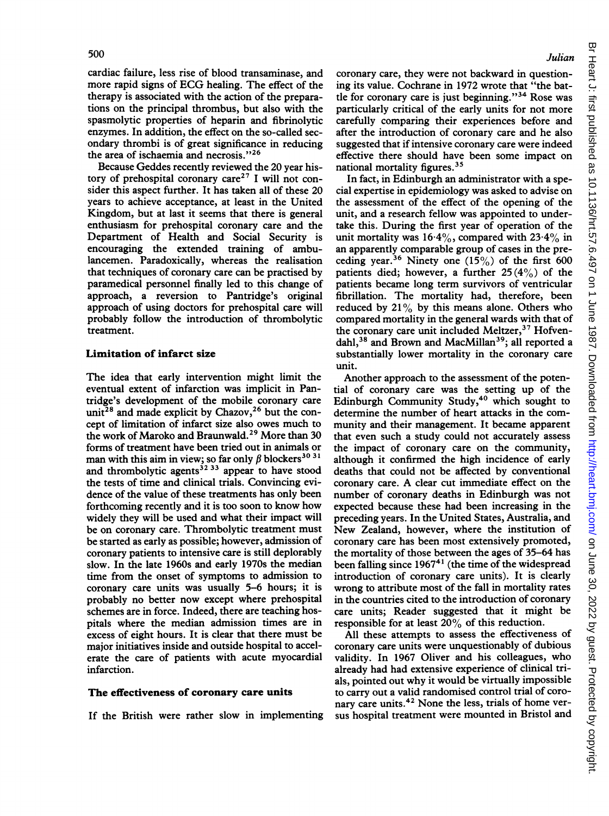cardiac failure, less rise of blood transaminase, and more rapid signs of ECG healing. The effect of the therapy is associated with the action of the preparations on the principal thrombus, but also with the spasmolytic properties of heparin and fibrinolytic enzymes. In addition, the effect on the so-called secondary thrombi is of great significance in reducing the area of ischaemia and necrosis."26

Because Geddes recently reviewed the 20 year history of prehospital coronary care<sup>27</sup> I will not consider this aspect further. It has taken all of these 20 years to achieve acceptance, at least in the United Kingdom, but at last it seems that there is general enthusiasm for prehospital coronary care and the Department of Health and Social Security is encouraging the extended training of ambulancemen. Paradoxically, whereas the realisation that techniques of coronary care can be practised by paramedical personnel finally led to this change of approach, a reversion to Pantridge's original approach of using doctors for prehospital care will probably follow the introduction of thrombolytic treatment.

## Limitation of infarct size

The idea that early intervention might limit the eventual extent of infarction was implicit in Pantridge's development of the mobile coronary care unit<sup>28</sup> and made explicit by Chazov,<sup>26</sup> but the concept of limitation of infarct size also owes much to the work of Maroko and Braunwald.<sup>29</sup> More than 30 forms of treatment have been tried out in animals or man with this aim in view; so far only  $\beta$  blockers<sup>30 31</sup> and thrombolytic agents<sup>32 33</sup> appear to have stood the tests of time and clinical trials. Convincing evidence of the value of these treatments has only been forthcoming recently and it is too soon to know how widely they will be used and what their impact will be on coronary care. Thrombolytic treatment must be started as early as possible; however, admission of coronary patients to intensive care is still deplorably slow. In the late 1960s and early 1970s the median time from the onset of symptoms to admission to coronary care units was usually 5-6 hours; it is probably no better now except where prehospital schemes are in force. Indeed, there are teaching hospitals where the median admission times are in excess of eight hours. It is clear that there must be major initiatives inside and outside hospital to accelerate the care of patients with acute myocardial infarction.

#### The effectiveness of coronary care units

If the British were rather slow in implementing

### Julian

coronary care, they were not backward in questioning its value. Cochrane in 1972 wrote that "the battle for coronary care is just beginning."34 Rose was particularly critical of the early units for not more carefully comparing their experiences before and after the introduction of coronary care and he also suggested that if intensive coronary care were indeed effective there should have been some impact on national mortality figures.<sup>35</sup>

In fact, in Edinburgh an administrator with a special expertise in epidemiology was asked to advise on the assessment of the effect of the opening of the unit, and a research fellow was appointed to undertake this. During the first year of operation of the unit mortality was  $16.4\%$ , compared with  $23.4\%$  in an apparently comparable group of cases in the preceding year.<sup>36</sup> Ninety one  $(15\%)$  of the first 600 patients died; however, a further  $25(4%)$  of the patients became long term survivors of ventricular fibrillation. The mortality had, therefore, been reduced by 21% by this means alone. Others who compared mortality in the general wards with that of the coronary care unit included Meltzer,<sup>37</sup> Hofvendahl,<sup>38</sup> and Brown and MacMillan<sup>39</sup>; all reported a substantially lower mortality in the coronary care unit.

Another approach to the assessment of the potential of coronary care was the setting up of the Edinburgh Community Study,40 which sought to determine the number of heart attacks in the community and their management. It became apparent that even such a study could not accurately assess the impact of coronary care on the community, although it confirmed the high incidence of early deaths that could not be affected by conventional coronary care. A clear cut immediate effect on the number of coronary deaths in Edinburgh was not expected because these had been increasing in the preceding years. In the United States, Australia, and New Zealand, however, where the institution of coronary care has been most extensively promoted, the mortality of those between the ages of 35-64 has been falling since  $1967<sup>41</sup>$  (the time of the widespread introduction of coronary care units). It is clearly wrong to attribute most of the fall in mortality rates in the countries cited to the introduction of coronary care units; Reader suggested that it might be responsible for at least 20% of this reduction.

All these attempts to assess the effectiveness of coronary care units were unquestionably of dubious validity. In 1967 Oliver and his colleagues, who already had had extensive experience of clinical trials, pointed out why it would be virtually impossible to carry out a valid randomised control trial of coronary care units.<sup>42</sup> None the less, trials of home versus hospital treatment were mounted in Bristol and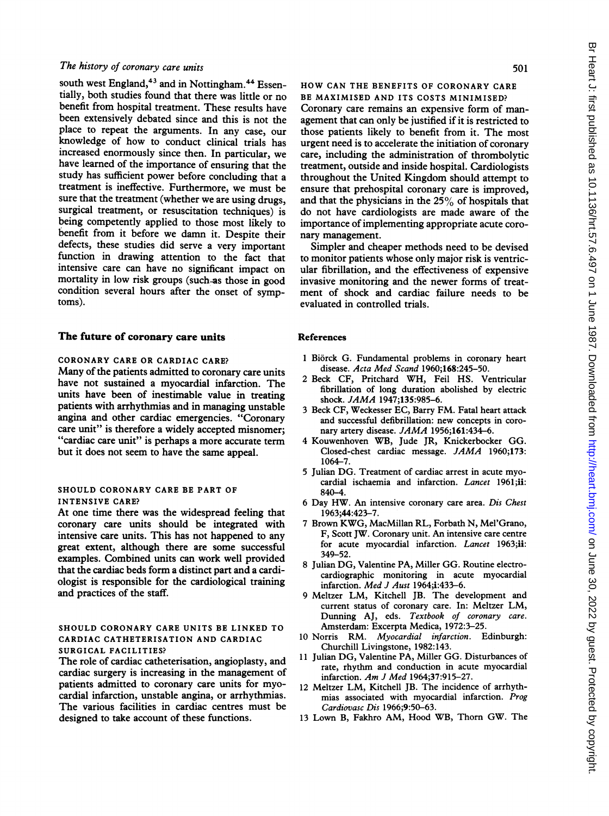south west England,<sup>43</sup> and in Nottingham.<sup>44</sup> Essentially, both studies found that there was little or no benefit from hospital treatment. These results have been extensively debated since and this is not the place to repeat the arguments. In any case, our knowledge of how to conduct clinical trials has increased enormously since then. In particular, we have learned of the importance of ensuring that the study has sufficient power before concluding that a treatment is ineffective. Furthermore, we must be sure that the treatment (whether we are using drugs, surgical treatment, or resuscitation techniques) is being competently applied to those most likely to benefit from it before we damn it. Despite their defects, these studies did serve a very important function in drawing attention to the fact that intensive care can have no significant impact on mortality in low risk groups (such-as those in good condition several hours after the onset of symptoms).

#### The future of coronary care units

## CORONARY CARE OR CARDIAC CARE?

Many of the patients admitted to coronary care units have not sustained a myocardial infarction. The units have been of inestimable value in treating patients with arrhythmias and in managing unstable angina and other cardiac emergencies. "Coronary care unit" is therefore a widely accepted misnomer; "cardiac care unit" is perhaps a more accurate term but it does not seem to have the same appeal.

#### SHOULD CORONARY CARE BE PART OF INTENSIVE CARE?

At one time there was the widespread feeling that coronary care units should be integrated with intensive care units. This has not happened to any great extent, although there are some successful examples. Combined units can work well provided that the cardiac beds form a distinct part and a cardiologist is responsible for the cardiological training and practices of the staff.

#### SHOULD CORONARY CARE UNITS BE LINKED TO CARDIAC CATHETERISATION AND CARDIAC SURGICAL FACILITIES?

The role of cardiac catheterisation, angioplasty, and cardiac surgery is increasing in the management of patients admitted to coronary care units for myocardial infarction, unstable angina, or arrhythmias. The various facilities in cardiac centres must be designed to take account of these functions.

HOW CAN THE BENEFITS OF CORONARY CARE BE MAXIMISED AND ITS COSTS MINIMISED? Coronary care remains an expensive form of management that can only be justified if it is restricted to those patients likely to benefit from it. The most urgent need is to accelerate the initiation of coronary care, including the administration of thrombolytic treatment, outside and inside hospital. Cardiologists throughout the United Kingdom should attempt to ensure that prehospital coronary care is improved, and that the physicians in the 25% of hospitals that do not have cardiologists are made aware of the importance of implementing appropriate acute coronary management.

Simpler and cheaper methods need to be devised to monitor patients whose only major risk is ventricular fibrillation, and the effectiveness of expensive invasive monitoring and the newer forms of treatment of shock and cardiac failure needs to be evaluated in controlled trials.

#### References

- <sup>1</sup> Biorck G. Fundamental problems in coronary heart disease. Acta Med Scand 1960;168:245-50.
- <sup>2</sup> Beck CF, Pritchard WH, Feil HS. Ventricular fibrillation of long duration abolished by electric shock. JAMA 1947;135:985-6.
- <sup>3</sup> Beck CF, Weckesser EC, Barry FM. Fatal heart attack and successful defibrillation: new concepts in coronary artery disease. *JAMA* 1956;161:434-6.
- 4 Kouwenhoven WB, Jude JR, Knickerbocker GG. Closed-chest cardiac message. JAMA 1960;173: 1064-7.
- <sup>5</sup> Julian DG. Treatment of cardiac arrest in acute myocardial ischaemia and infarction. Lancet 1961;ii: 840-4.
- <sup>6</sup> Day HW. An intensive coronary care area. Dis Chest 1963;44:423-7.
- <sup>7</sup> Brown KWG, MacMillan RL, Forbath N, Mel'Grano, F, Scott JW. Coronary unit. An intensive care centre for acute myocardial infarction. Lancet 1963;ii: 349-52.
- <sup>8</sup> Julian DG, Valentine PA, Miller GG. Routine electrocardiographic monitoring in acute myocardial infarction. Med J Aust 1964;i:433-6.
- 9 Meltzer LM, Kitchell JB. The development and current status of coronary care. In: Meltzer LM, Dunning AJ, eds. Textbook of coronary care. Amsterdam: Excerpta Medica, 1972:3-25.
- <sup>10</sup> Norris RM. Myocardial infarction. Edinburgh: Churchill Livingstone, 1982:143.
- <sup>11</sup> Julian DG, Valentine PA, Miller GG. Disturbances of rate, rhythm and conduction in acute myocardial infarction. Am J Med 1964;37:915-27.
- <sup>12</sup> Meltzer LM, Kitchell JB. The incidence of arrhythmias associated with myocardial infarction. Prog Cardiovasc Dis 1966;9:50-63.
- <sup>13</sup> Lown B, Fakhro AM, Hood WB, Thorn GW. The